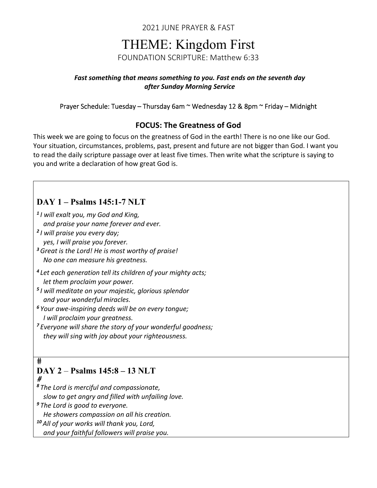2021 JUNE PRAYER & FAST

# THEME: Kingdom First

FOUNDATION SCRIPTURE: Matthew 6:33

#### *Fast something that means something to you. Fast ends on the seventh day after Sunday Morning Service*

#### Prayer Schedule: Tuesday – Thursday 6am ~ Wednesday 12 & 8pm ~ Friday – Midnight

## **FOCUS: The Greatness of God**

This week we are going to focus on the greatness of God in the earth! There is no one like our God. Your situation, circumstances, problems, past, present and future are not bigger than God. I want you to read the daily scripture passage over at least five times. Then write what the scripture is saying to you and write a declaration of how great God is.

# **DAY 1 – Psalms 145:1-7 NLT**

*<sup>1</sup> I will exalt you, my God and King,*

 *and praise your name forever and ever.*

- *<sup>2</sup> I will praise you every day; yes, I will praise you forever.*
- *<sup>3</sup>Great is the Lord! He is most worthy of praise! No one can measure his greatness.*
- *<sup>4</sup> Let each generation tell its children of your mighty acts; let them proclaim your power.*
- *<sup>5</sup> I will meditate on your majestic, glorious splendor and your wonderful miracles.*
- *<sup>6</sup> Your awe‐inspiring deeds will be on every tongue; I will proclaim your greatness.*
- *<sup>7</sup> Everyone will share the story of your wonderful goodness; they will sing with joy about your righteousness.*

#### $#$ **DAY 2** – **Psalms 145:8 – 13 NLT** #

*<sup>8</sup> The Lord is merciful and compassionate, slow to get angry and filled with unfailing love.*

*<sup>9</sup> The Lord is good to everyone.*

 *He showers compassion on all his creation.*

*<sup>10</sup> All of your works will thank you, Lord,*

 *and your faithful followers will praise you.*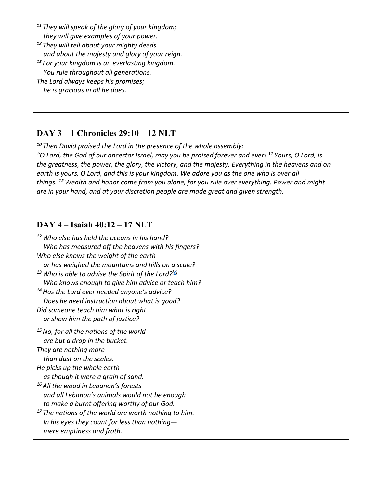*<sup>11</sup> They will speak of the glory of your kingdom; they will give examples of your power. <sup>12</sup> They will tell about your mighty deeds and about the majesty and glory of your reign. <sup>13</sup> For your kingdom is an everlasting kingdom. You rule throughout all generations. The Lord always keeps his promises; he is gracious in all he does.*

# **DAY 3 – 1 Chronicles 29:10 – 12 NLT**

*<sup>10</sup> Then David praised the Lord in the presence of the whole assembly:* "O Lord, the God of our ancestor Israel, may you be praised forever and ever! <sup>11</sup> Yours, O Lord, is *the greatness, the power, the glory, the victory, and the majesty. Everything in the heavens and on* earth is yours, O Lord, and this is your kingdom. We adore you as the one who is over all *things. <sup>12</sup>Wealth and honor come from you alone, for you rule over everything. Power and might are in your hand, and at your discretion people are made great and given strength.*

# **DAY 4 – Isaiah 40:12 – 17 NLT**

*<sup>12</sup>Who else has held the oceans in his hand? Who has measured off the heavens with his fingers? Who else knows the weight of the earth or has weighed the mountains and hills on a scale? <sup>13</sup>Who is able to advise the Spirit of the Lord?[c] Who knows enough to give him advice or teach him? <sup>14</sup>Has the Lord ever needed anyone's advice? Does he need instruction about what is good? Did someone teach him what is right or show him the path of justice? <sup>15</sup>No, for all the nations of the world are but a drop in the bucket. They are nothing more than dust on the scales. He picks up the whole earth as though it were a grain of sand. <sup>16</sup> All the wood in Lebanon's forests and all Lebanon's animals would not be enough to make a burnt offering worthy of our God. <sup>17</sup> The nations of the world are worth nothing to him. In his eyes they count for less than nothing— mere emptiness and froth.*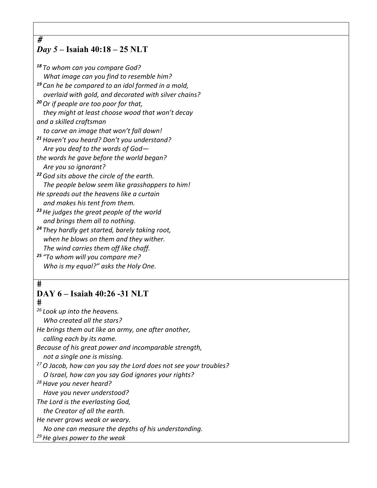## *Day 5 –* **Isaiah 40:18 – 25 NLT**

*<sup>18</sup> To whom can you compare God? What image can you find to resemble him? <sup>19</sup> Can he be compared to an idol formed in a mold, overlaid with gold, and decorated with silver chains? <sup>20</sup>Or if people are too poor for that, they might at least choose wood that won't decay and a skilled craftsman to carve an image that won't fall down! <sup>21</sup>Haven't you heard? Don't you understand? Are you deaf to the words of God the words he gave before the world began? Are you so ignorant? <sup>22</sup>God sits above the circle of the earth. The people below seem like grasshoppers to him! He spreads out the heavens like a curtain and makes his tent from them. <sup>23</sup>He judges the great people of the world and brings them all to nothing.*

*<sup>24</sup> They hardly get started, barely taking root, when he blows on them and they wither. The wind carries them off like chaff.*

*<sup>25</sup> "To whom will you compare me? Who is my equal?" asks the Holy One.*

#### $#$

 $\overline{\#}$ 

### **DAY 6 – Isaiah 40:26 -31 NLT**

 $#$ 

*<sup>26</sup> Look up into the heavens.*

 *Who created all the stars?*

*He brings them out like an army, one after another,*

 *calling each by its name.*

*Because of his great power and incomparable strength,*

 *not a single one is missing.*

*27O Jacob, how can you say the Lord does not see your troubles?*

 *O Israel, how can you say God ignores your rights?*

*28Have you never heard?*

 *Have you never understood?*

*The Lord is the everlasting God, the Creator of all the earth.*

*He never grows weak or weary.*

 *No one can measure the depths of his understanding.*

*29He gives power to the weak*